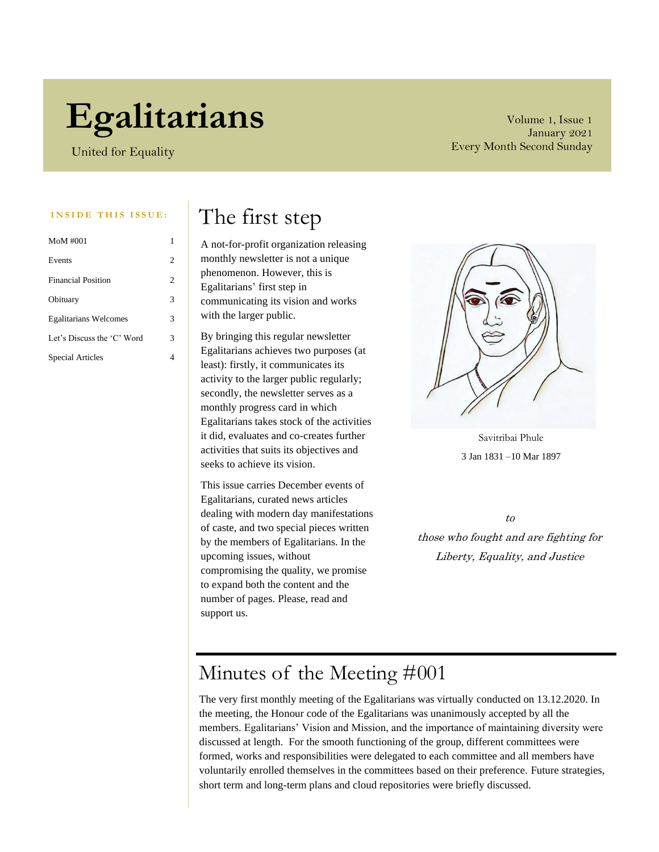# **Egalitarians**

United for Equality

Volume 1, Issue 1 January 2021 Every Month Second Sunday

| MoM #001                     |   |
|------------------------------|---|
| Events                       | 2 |
| <b>Financial Position</b>    | 2 |
| Obituary                     | 3 |
| <b>Egalitarians Welcomes</b> | 3 |
| Let's Discuss the 'C' Word   | 3 |
| Special Articles             | 4 |

### INSIDE THIS ISSUE: The first step

A not-for-profit organization releasing monthly newsletter is not a unique phenomenon. However, this is Egalitarians' first step in communicating its vision and works with the larger public.

By bringing this regular newsletter Egalitarians achieves two purposes (at least): firstly, it communicates its activity to the larger public regularly; secondly, the newsletter serves as a monthly progress card in which Egalitarians takes stock of the activities it did, evaluates and co-creates further activities that suits its objectives and seeks to achieve its vision.

This issue carries December events of Egalitarians, curated news articles dealing with modern day manifestations of caste, and two special pieces written by the members of Egalitarians. In the upcoming issues, without compromising the quality, we promise to expand both the content and the number of pages. Please, read and support us.



Savitribai Phule 3 Jan 1831 –10 Mar 1897

 $t<sub>0</sub>$ 

those who fought and are fighting for Liberty, Equality, and Justice

### Minutes of the Meeting #001

The very first monthly meeting of the Egalitarians was virtually conducted on 13.12.2020. In the meeting, the Honour code of the Egalitarians was unanimously accepted by all the members. Egalitarians' Vision and Mission, and the importance of maintaining diversity were discussed at length. For the smooth functioning of the group, different committees were formed, works and responsibilities were delegated to each committee and all members have voluntarily enrolled themselves in the committees based on their preference. Future strategies, short term and long-term plans and cloud repositories were briefly discussed.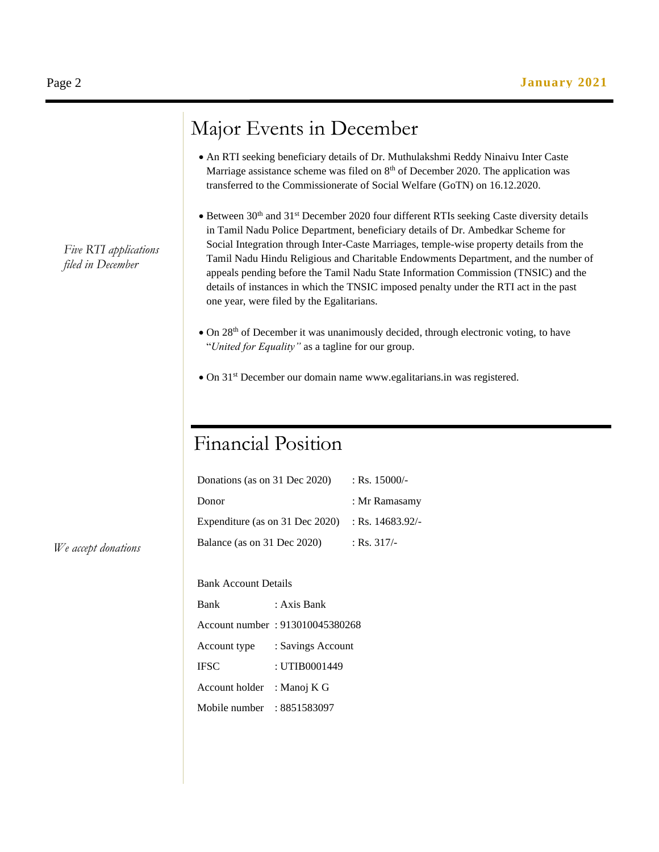### Major Events in December

- An RTI seeking beneficiary details of Dr. Muthulakshmi Reddy Ninaivu Inter Caste Marriage assistance scheme was filed on 8<sup>th</sup> of December 2020. The application was transferred to the Commissionerate of Social Welfare (GoTN) on 16.12.2020.
- Between 30<sup>th</sup> and 31<sup>st</sup> December 2020 four different RTIs seeking Caste diversity details in Tamil Nadu Police Department, beneficiary details of Dr. Ambedkar Scheme for Social Integration through Inter-Caste Marriages, temple-wise property details from the Tamil Nadu Hindu Religious and Charitable Endowments Department, and the number of appeals pending before the Tamil Nadu State Information Commission (TNSIC) and the details of instances in which the TNSIC imposed penalty under the RTI act in the past one year, were filed by the Egalitarians.
- On 28<sup>th</sup> of December it was unanimously decided, through electronic voting, to have "*United for Equality"* as a tagline for our group.
- On 31st December our domain name www.egalitarians.in was registered.

## Financial Position

| Donations (as on 31 Dec 2020)   | : Rs. $15000/-$    |
|---------------------------------|--------------------|
| Donor                           | : Mr Ramasamy      |
| Expenditure (as on 31 Dec 2020) | : Rs. $14683.92/-$ |
| Balance (as on 31 Dec 2020)     | : Rs. $317/-$      |

Bank Account Details

| <b>Bank</b>    | : Axis Bank                     |
|----------------|---------------------------------|
|                | Account number: 913010045380268 |
| Account type   | : Savings Account               |
| <b>IFSC</b>    | : UTIB0001449                   |
| Account holder | : Manoj K G                     |
| Mobile number  | : 8851583097                    |

*We accept donations*

*Five RTI applications filed in December*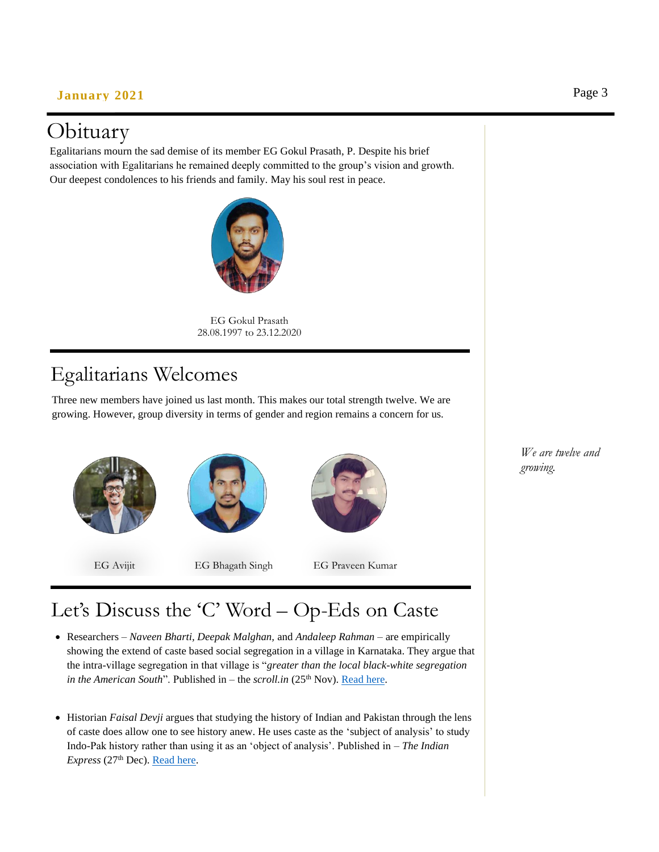#### **January 2021** Page 3

### Obituary

I

Egalitarians mourn the sad demise of its member EG Gokul Prasath, P. Despite his brief association with Egalitarians he remained deeply committed to the group's vision and growth. Our deepest condolences to his friends and family. May his soul rest in peace.



EG Gokul Prasath 28.08.1997 to 23.12.2020

#### Egalitarians Welcomes 28.08.1997 to  $2\text{S}$

Three new members have joined us last month. This makes our total strength twelve. We are growing. However, group diversity in terms of gender and region remains a concern for us.





#### Let's Discuss the 'C' Word – Op-Eds on Caste

- Researchers *Naveen Bharti, Deepak Malghan,* and *Andaleep Rahman* are empirically showing the extend of caste based social segregation in a village in Karnataka. They argue that the intra-village segregation in that village is "*greater than the local black-white segregation in the American South*". Published in – the *scroll.in* (25<sup>th</sup> Nov). <u>Read here</u>.
- Historian *Faisal Devji* argues that studying the history of Indian and Pakistan through the lens of caste does allow one to see history anew. He uses caste as the 'subject of analysis' to study Indo-Pak history rather than using it as an 'object of analysis'. Published in – *The Indian Express* (27<sup>th</sup> Dec)[. Read here.](https://indianexpress.com/article/opinion/columns/seeing-india-pakistan-history-through-the-lens-of-caste/)

*We are twelve and growing.*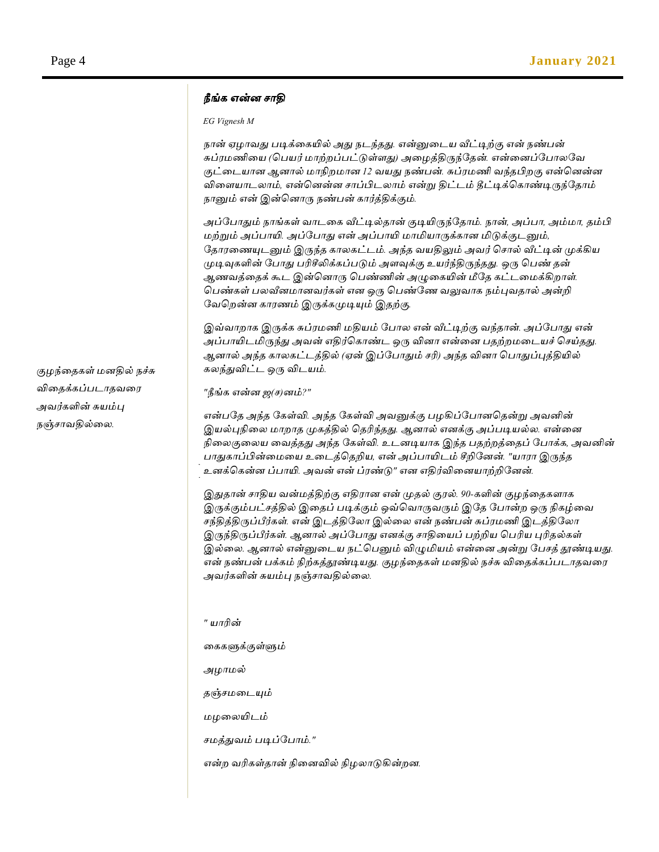#### *நீங்க என்ன சாதி*

#### *EG Vignesh M*

*நான் ஏழாவது படிக்தகயில் அது நடந்ைது. என்னுதடய வீட்டிற்கு என் நண்பன் சுப்ைமணிதய (பபயர் மாற்றப்பட்டுள்ளது) அதழத்திருந்தைன். என்தனப்தபாைதவ*  குட்டையான ஆனால் மாநிறமான *12 வயது நண்பன். சுப்ரமணி வந்தபிறகு என்னெ*ன்ன *விதளயாடைாம், என்பனன்ன சாப்பிடைாம் என்று திட்டம் தீட்டிக்பகாண்டிருந்தைாம் நானும் என் இன்பனாரு நண்பன் கார்த்திக்கும்.*

*அப்தபாதும் நாங்கள் வாடதக வீட்டில்ைான் குடியிருந்தைாம். நான், அப்பா, அம்மா, ைம்பி மற்றும் அப்பாயி. அப்தபாது என் அப்பாயி மாமியாருக்கான மிடுக்குடனும்,*  தோரணையுடனும் இருந்த காலகட்டம். அந்த வயதிலும் அவர் சொல் வீட்டின் முக்கிய *முடிவுகளின் தபாது பரிசீலிக்கப்படும் அளவுக்கு உயர்ந்திருந்ைது. ஒரு பபண் ைன் ஆைவத்தைக் கூட இன்பனாரு பபண்ணின் அழுதகயின் மீதை கட்டதமக்கிறாள். பபண்கள் பைவீனமானவர்கள் என ஒரு பபண்தை வலுவாக நம்புவைால் அன்றி தவபறன்ன காைைம் இருக்கமுடியும் இைற்கு.* 

*இவ்வாறாக இருக்க சுப்ைமணி மதியம் தபாை என் வீட்டிற்கு வந்ைான். அப்தபாது என் அப்பாயிடமிருந்து அவன் எதிர்பகாண்ட ஒரு வினா என்தன பைற்றமதடயச் பசய்ைது. ஆனால் அந்ை காைகட்டத்தில் (ஏன் இப்தபாதும் சரி) அந்ை வினா பபாதுப்புத்தியில் கைந்துவிட்ட ஒரு விடயம்.*

*"நீங்க என்ன ஜ(ச)னம்?"*

Back Page Story Headline *உனக்பகன்ன ப்பாயி. அவன் என் ப்ைண்டு" என எதிர்விதனயாற்றிதனன். என்பதை அந்ை தகள்வி. அந்ை தகள்வி அவனுக்கு பழகிப்தபானபைன்று அவனின் இயல்புநிதை மாறாை முகத்தில் பைரிந்ைது. ஆனால் எனக்கு அப்படியல்ை. என்தன நிதைகுதைய தவத்ைது அந்ை தகள்வி. உடனடியாக இந்ை பைற்றத்தைப் தபாக்க, அவனின் பாதுகாப்பின்தமதய உதடத்பைறிய, என் அப்பாயிடம் சீறிதனன். "யாைா இருந்ை* 

*இதுைான் சாதிய வன்மத்திற்கு எதிைான என் முைல் குைல். 90-களின் குழந்தைகளாக இருக்கும்பட்சத்தில் இதைப் படிக்கும் ஒவ்பவாருவரும் இதை தபான்ற ஒரு நிகழ்தவ சந்தித்திருப்பீர்கள். என் இடத்திதைா இல்தை என் நண்பன் சுப்ைமணி இடத்திதைா இருந்திருப்பீர்கள். ஆனால் அப்தபாது எனக்கு சாதிதயப் பற்றிய பபரிய புரிைல்கள் இல்தை. ஆனால் என்னுதடய நட்பபனும் விழுமியம் என்தன அன்று தபசத் தூண்டியது. என் நண்பன் பக்கம் நிற்கத்தூண்டியது. குழந்தைகள் மனதில் நச்சு விதைக்கப்படாதவரை அவர்களின் சுயம்பு நஞ்சாவதில்தை.* 

*" யாரின்*

*தககளுக்குள்ளும் அழாமல் ைஞ்சமதடயும் மழதையிடம் சமத்துவம் படிப்தபாம்." என்ற வரிகள்ைான் நிதனவில் நிழைாடுகின்றன.*

*குழந்தைகள் மனதில் நச்சு விதைக்கப்படாைவதை அவர்களின் சுயம்பு நஞ்சாவதில்தை.*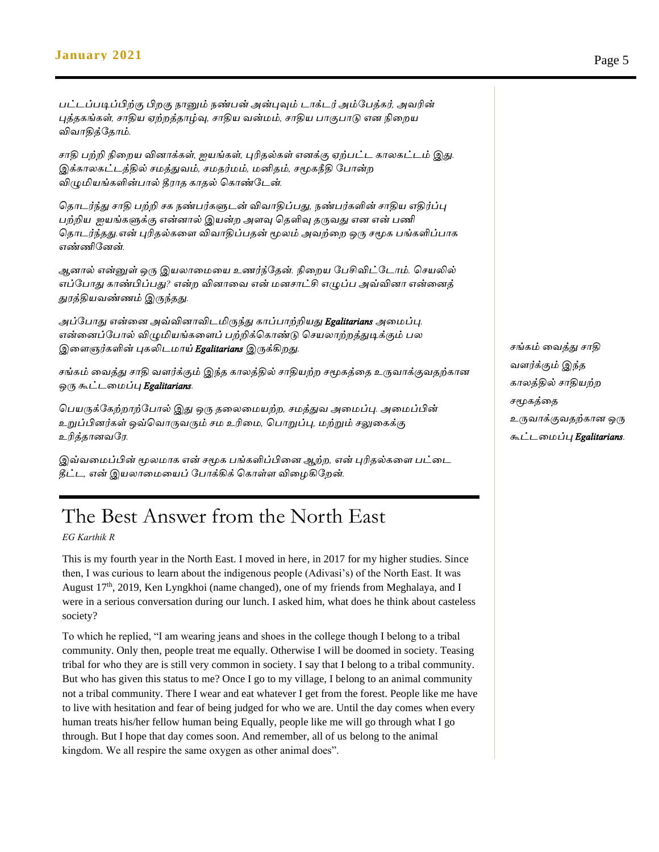#### **January 2021** Page 5

*பட்டப்படிப்பிற்கு பிறகு நானும் நண்பன் அன்புவும் டாக்டர் அம்தபத்கர், அவரின் புத்ைகங்கள், சாதிய ஏற்றத்ைாழ்வு, சாதிய வன்மம், சாதிய பாகுபாடு என நிதறய விவாதித்தைாம்.*

*சாதி பற்றி நிதறய வினாக்கள், ஐயங்கள், புரிைல்கள் எனக்கு ஏற்பட்ட காைகட்டம் இது. இக்காைகட்டத்தில் சமத்துவம், சமைர்மம், மனிைம், சமூகநீதி தபான்ற விழுமியங்களின்பால் தீராத காதல் கொண்டேன்*.

*பைாடர்ந்து சாதி பற்றி சக நண்பர்களுடன் விவாதிப்பது, நண்பர்களின் சாதிய எதிர்ப்பு பற்றிய ஐயங்களுக்கு என்னால் இயன்ற அளவு பைளிவு ைருவது என என் பணி பைாடர்ந்ைது.என் புரிைல்கதள விவாதிப்பைன் மூைம் அவற்தற ஒரு சமூக பங்களிப்பாக எண்ணிதனன்.*

*ஆனால் என்னுள் ஒரு இயைாதமதய உைர்ந்தைன். நிறறய தபசிவிட்தடாம். பசயலில் எப்தபாது காண்பிப்பது? என்ற வினாதவ என் மனசாட்சி எழுப்ப அவ்வினா என்தனத் துரத்தியவண்ணம் இருந்தது*.

*அப்தபாது என்தன அவ்வினாவிடமிருந்து காப்பாற்றியது Egalitarians அதமப்பு. என்தனப்தபால் விழுமியங்கதளப் பற்றிக்பகாண்டு பசயைாற்றத்துடிக்கும் பை இதளஞர்களின் புகலிடமாய் Egalitarians இருக்கிறது.*

*சங்கம் தவத்து சாதி வளர்க்கும் இந்ை காைத்தில் சாதியற்ற சமூகத்தை உருவாக்குவைற்கான ஒரு கூட்டதமப்பு Egalitarians.*

*பபயருக்தகற்றாற்தபால் இது ஒரு ைதைதமயற்ற, சமத்துவ அதமப்பு. அதமப்பின் உறுப்பினர்கள் ஒவ்பவாருவரும் சம உரிதம, பபாறுப்பு, மற்றும் சலுதகக்கு உரித்ைானவதை.*

*இவ்வதமப்பின் மூைமாக என் சமூக பங்களிப்பிதன ஆற்ற, என் புரிைல்கதள பட்தட தீட்ட, என் இயைாதமதயப் தபாக்கிக் பகாள்ள விதழகிதறன்.* 

#### The Best Answer from the North East

*EG Karthik R*

This is my fourth year in the North East. I moved in here, in 2017 for my higher studies. Since then, I was curious to learn about the indigenous people (Adivasi's) of the North East. It was August  $17<sup>th</sup>$ , 2019, Ken Lyngkhoi (name changed), one of my friends from Meghalaya, and I were in a serious conversation during our lunch. I asked him, what does he think about casteless society?

To which he replied, "I am wearing jeans and shoes in the college though I belong to a tribal community. Only then, people treat me equally. Otherwise I will be doomed in society. Teasing tribal for who they are is still very common in society. I say that I belong to a tribal community. But who has given this status to me? Once I go to my village, I belong to an animal community not a tribal community. There I wear and eat whatever I get from the forest. People like me have to live with hesitation and fear of being judged for who we are. Until the day comes when every human treats his/her fellow human being Equally, people like me will go through what I go through. But I hope that day comes soon. And remember, all of us belong to the animal kingdom. We all respire the same oxygen as other animal does".

*சங்கம் தவத்து சாதி வளர்க்கும் இந்ை காைத்தில் சாதியற்ற சமூகத்தை உருவாக்குவைற்கான ஒரு கூட்டதமப்பு Egalitarians.*